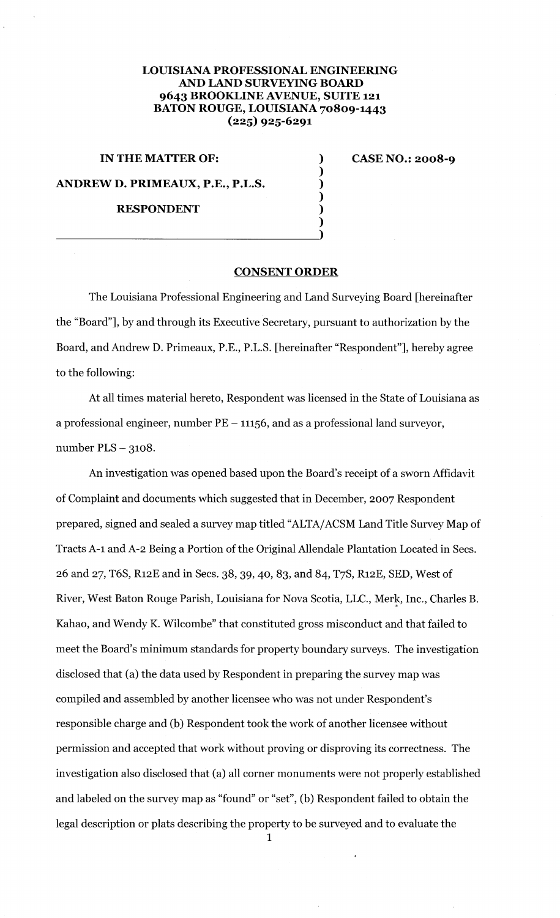## **LOUISIANA PROFESSIONAL ENGINEERING AND lAND SURVEYING BOARD 9643 BROOKLINE AVENUE, SUITE 121 BATON ROUGE, LOUISIANA 70809-1443 (225) 925-6291**

**IN THE MATTER OF:** ) **ANDREW D. PRIMEAUX, P.E., P.L.S. RESPONDENT** 

 $\overline{\phantom{a}1}$ 

**CASE NO.: 2008-9** 

## **CONSENT ORDER**

) ) ) ) )

The Louisiana Professional Engineering and Land Surveying Board [hereinafter the "Board"], by and through its Executive Secretary, pursuant to authorization by the Board, and Andrew D. Primeaux, P.E., P.L.S. [hereinafter "Respondent"], hereby agree to the following:

At all times material hereto, Respondent was licensed in the State of Louisiana as a professional engineer, number  $PE - 11156$ , and as a professional land surveyor, number PLS - 3108.

An investigation was opened based upon the Board's receipt of a sworn Affidavit of Complaint and documents which suggested that in December, 2007 Respondent prepared, signed and sealed a survey map titled "ALTA/ ACSM Land Title Survey Map of Tracts A-1 and A-2 Being a Portion of the Original Allendale Plantation Located in Sees. 26 and 27, T6S, R12E and in Sees. 38, 39, 40, 83, and 84, T7S, R12E, SED, West of River, West Baton Rouge Parish, Louisiana for Nova Scotia, LLC., Merk, Inc., Charles B. (i Kahao, and Wendy K. Wilcombe" that constituted gross misconduct and that failed to meet the Board's minimum standards for property boundary surveys. The investigation disclosed that (a) the data used by Respondent in preparing the survey map was compiled and assembled by another licensee who was not under Respondent's responsible charge and (b) Respondent took the work of another licensee without permission and accepted that work without proving or disproving its correctness. The investigation also disclosed that (a) all corner monuments were not properly established and labeled on the survey map as "found" or "set", (b) Respondent failed to obtain the legal description or plats describing the property to be surveyed and to evaluate the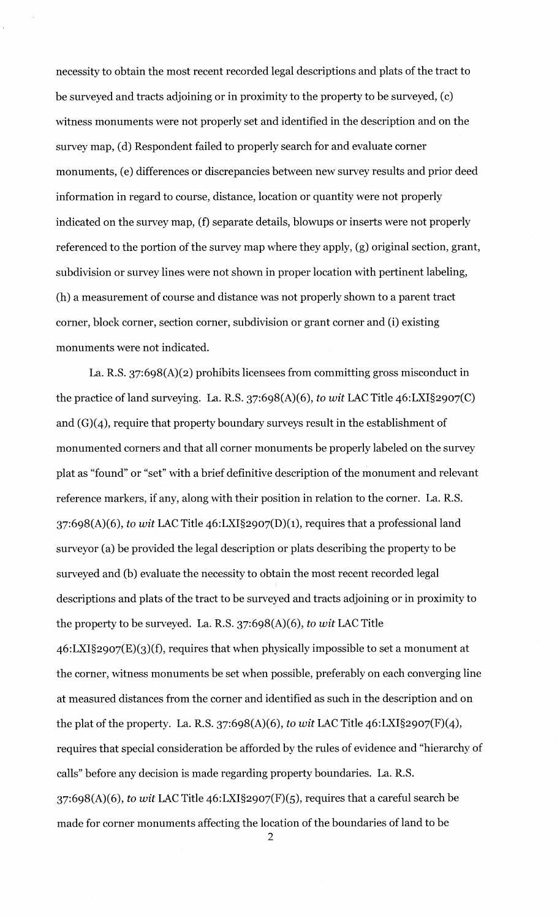necessity to obtain the most recent recorded legal descriptions and plats of the tract to be surveyed and tracts adjoining or in proximity to the property to be surveyed, (c) witness monuments were not properly set and identified in the description and on the survey map, (d) Respondent failed to properly search for and evaluate corner monuments, (e) differences or discrepancies between new survey results and prior deed information in regard to course, distance, location or quantity were not properly indicated on the survey map, (f) separate details, blowups or inserts were not properly referenced to the portion of the survey map where they apply, (g) original section, grant, subdivision or survey lines were not shown in proper location with pertinent labeling, (h) a measurement of course and distance was not properly shown to a parent tract corner, block corner, section corner, subdivision or grant corner and (i) existing monuments were not indicated.

La. R.S. 37:6g8(A)(2) prohibits licensees from committing gross misconduct in the practice of land surveying. La. R.S. 37:6g8(A)(6), *to wit* LAC Title 46:LXI§2907(C) and (G)(4), require that property boundary surveys result in the establishment of monumented corners and that all corner monuments be properly labeled on the survey plat as "found" or "set" with a brief definitive description of the monument and relevant reference markers, if any, along with their position in relation to the corner. La. R.S. 37:6g8(A)(6), *to wit* LAC Title 46:LXI§2907(D)(1), requires that a professional land surveyor (a) be provided the legal description or plats describing the property to be surveyed and (b) evaluate the necessity to obtain the most recent recorded legal descriptions and plats of the tract to be surveyed and tracts adjoining or in proximity to the property to be surveyed. La. R.S. 37:6g8(A)(6), *to wit* LAC Title 46:LXI§2907(E)(3)(f), requires that when physically impossible to set a monument at the corner, witness monuments be set when possible, preferably on each converging line at measured distances from the corner and identified as such in the description and on the plat of the property. La. R.S. 37:6g8(A)(6), *to wit* LAC Title 46:LXI§2907(F)(4), requires that special consideration be afforded by the rules of evidence and "hierarchy of calls" before any decision is made regarding property boundaries. La. R.S. 37:6g8(A)(6), *to wit* LAC Title 46:LXI§2907(F)(5), requires that a careful search be made for corner monuments affecting the location of the boundaries of land to be

 $\mathcal{P}$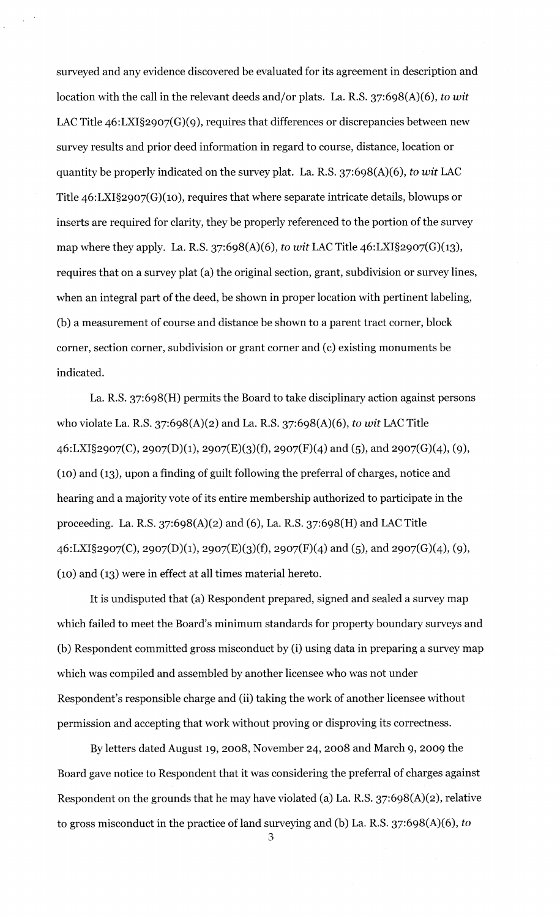surveyed and any evidence discovered be evaluated for its agreement in description and location with the call in the relevant deeds and/or plats. La. R.S. 37:6g8(A)(6), *to wit*  LAC Title 46:LXI§2907(G)(9), requires that differences or discrepancies between new survey results and prior deed information in regard to course, distance, location or quantity be properly indicated on the survey plat. La. R.S. 37:6g8(A)(6), *to wit* LAC Title 46:LXI§2g07(G)(10), requires that where separate intricate details, blowups or inserts are required for clarity, they be properly referenced to the portion of the survey map where they apply. La. R.S. 37:6g8(A)(6), *to wit* LAC Title 46:LXI§2g07(G)(13), requires that on a survey plat (a) the original section, grant, subdivision or survey lines, when an integral part of the deed, be shown in proper location with pertinent labeling, (b) a measurement of course and distance be shown to a parent tract corner, block corner, section corner, subdivision or grant corner and (c) existing monuments be indicated.

La. R.S. 37:6g8(H) permits the Board to take disciplinary action against persons who violate La. R.S. 37:6g8(A)(2) and La. R.S. 37:6g8(A)(6), *to wit* LAC Title  $46: LXI§2907(C), 2907(D)(1), 2907(E)(3)(f), 2907(F)(4)$  and  $(5),$  and  $2907(G)(4), (9),$ (10) and (13), upon a finding of guilt following the preferral of charges, notice and hearing and a majority vote of its entire membership authorized to participate in the proceeding. La. R.S. 37:6g8(A)(2) and (6), La. R.S. 37:6g8(H) and LAC Title  $46: LXI§2907(C), 2907(D)(1), 2907(E)(3)(f), 2907(F)(4)$  and  $(5),$  and  $2907(G)(4), (9),$ (10) and (13) were in effect at all times material hereto.

It is undisputed that (a) Respondent prepared, signed and sealed a survey map which failed to meet the Board's minimum standards for property boundary surveys and (b) Respondent committed gross misconduct by (i) using data in preparing a survey map which was compiled and assembled by another licensee who was not under Respondent's responsible charge and (ii) taking the work of another licensee without permission and accepting that work without proving or disproving its correctness.

By letters dated August 1g, 2008, November 24, 2008 and March g, 200g the Board gave notice to Respondent that it was considering the preferral of charges against Respondent on the grounds that he may have violated (a) La. R.S. 37:6g8(A)(2), relative to gross misconduct in the practice of land surveying and (b) La. R.S. 37:6g8(A)(6), *to*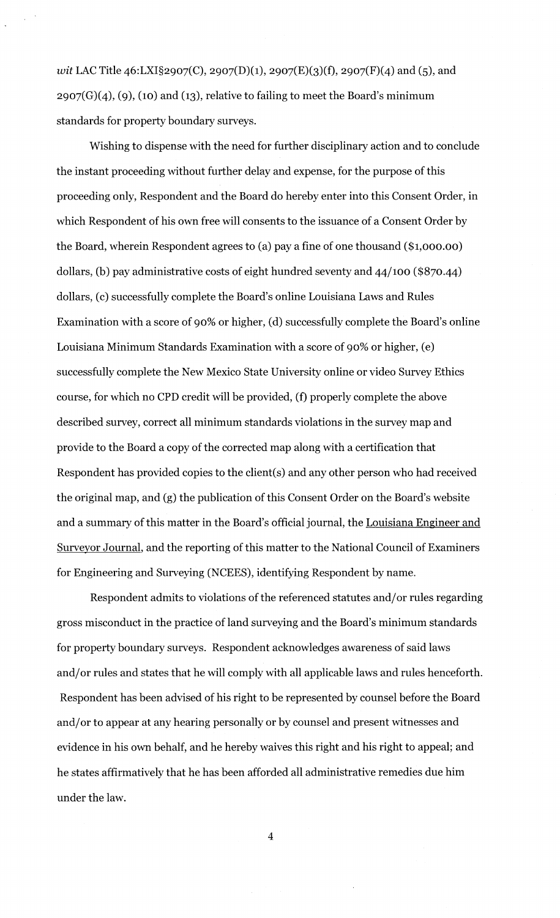*wit LAC Title 46:LXI§2907(C), 2907(D)(1), 2907(E)(3)(f), 2907(F)(4) and (5), and*  $2907(G)(4)$ , (9), (10) and (13), relative to failing to meet the Board's minimum standards for property boundary surveys.

Wishing to dispense with the need for further disciplinary action and to conclude the instant proceeding without further delay and expense, for the purpose of this proceeding only, Respondent and the Board do hereby enter into this Consent Order, in which Respondent of his own free will consents to the issuance of a Consent Order by the Board, wherein Respondent agrees to (a) pay a fine of one thousand (\$1,000.00) dollars, (b) pay administrative costs of eight hundred seventy and 44/100 (\$870.44) dollars, (c) successfully complete the Board's online Louisiana Laws and Rules Examination with a score of go% or higher, (d) successfully complete the Board's online Louisiana Minimum Standards Examination with a score of go% or higher, (e) successfully complete the New Mexico State University online or video Survey Ethics course, for which no CPD credit will be provided, (f) properly complete the above described survey, correct all minimum standards violations in the survey map and provide to the Board a copy of the corrected map along with a certification that Respondent has provided copies to the client(s) and any other person who had received the original map, and (g) the publication of this Consent Order on the Board's website and a summary of this matter in the Board's official journal, the Louisiana Engineer and Surveyor Journal, and the reporting of this matter to the National Council of Examiners for Engineering and Surveying (NCEES), identifying Respondent by name.

Respondent admits to violations of the referenced statutes and/ or rules regarding gross misconduct in the practice of land surveying and the Board's minimum standards for property boundary surveys. Respondent acknowledges awareness of said laws and/ or rules and states that he will comply with all applicable laws and rules henceforth. Respondent has been advised of his right to be represented by counsel before the Board and/ or to appear at any hearing personally or by counsel and present witnesses and evidence in his own behalf, and he hereby waives this right and his right to appeal; and he states affirmatively that he has been afforded all administrative remedies due him under the law.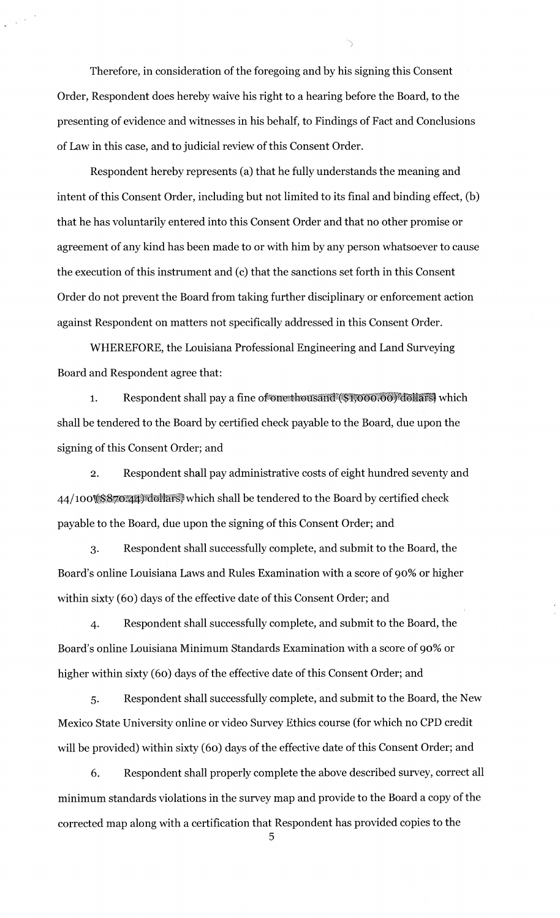Therefore, in consideration of the foregoing and by his signing this Consent Order, Respondent does hereby waive his right to a hearing before the Board, to the presenting of evidence and witnesses in his behalf, to Findings of Fact and Conclusions of Law in this case, and to judicial review of this Consent Order.

)

Respondent hereby represents (a) that he fully understands the meaning and intent of this Consent Order, including but not limited to its final and binding effect, (b) that he has voluntarily entered into this Consent Order and that no other promise or agreement of any kind has been made to or with him by any person whatsoever to cause the execution of this instrument and (c) that the sanctions set forth in this Consent Order do not prevent the Board from taking further disciplinary or enforcement action against Respondent on matters not specifically addressed in this Consent Order.

WHEREFORE, the Louisiana Professional Engineering and Land Surveying Board and Respondent agree that:

Respondent shall pay a fine of one thousand (\$1,000.00) dollars, which  $\mathbf{1}$ . shall be tendered to the Board by certified check payable to the Board, due upon the signing of this Consent Order; and

2. Respondent shall pay administrative costs of eight hundred seventy and 44/100\^\\\\$870:44)\dollars, which shall be tendered to the Board by certified check payable to the Board, due upon the signing of this Consent Order; and

3. Respondent shall successfully complete, and submit to the Board, the Board's online Louisiana Laws and Rules Examination with a score of 90% or higher within sixty (60) days of the effective date of this Consent Order; and

4. Respondent shall successfully complete, and submit to the Board, the Board's online Louisiana Minimum Standards Examination with a score of 90% or higher within sixty (6o) days of the effective date of this Consent Order; and

s. Respondent shall successfully complete, and submit to the Board, the New Mexico State University online or video Survey Ethics course (for which no CPD credit will be provided) within sixty (60) days of the effective date of this Consent Order; and

6. Respondent shall properly complete the above described survey, correct all minimum standards violations in the survey map and provide to the Board a copy of the corrected map along with a certification that Respondent has provided copies to the